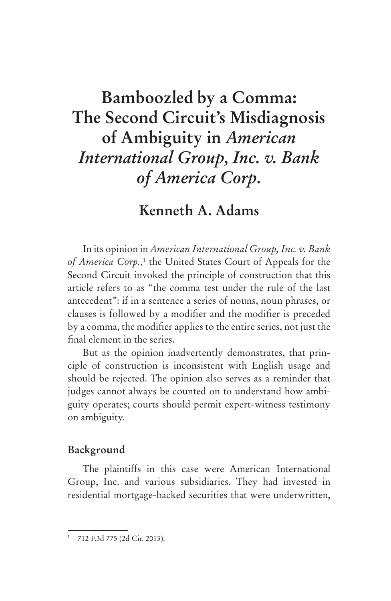# **Bamboozled by a Comma: The Second Circuit's Misdiagnosis of Ambiguity in** *American International Group, Inc. v. Bank of America Corp.*

# **Kenneth A. Adams**

In its opinion in *American International Group, Inc. v. Bank*  of America Corp.,<sup>1</sup> the United States Court of Appeals for the Second Circuit invoked the principle of construction that this article refers to as "the comma test under the rule of the last antecedent": if in a sentence a series of nouns, noun phrases, or clauses is followed by a modifier and the modifier is preceded by a comma, the modifier applies to the entire series, not just the final element in the series.

But as the opinion inadvertently demonstrates, that principle of construction is inconsistent with English usage and should be rejected. The opinion also serves as a reminder that judges cannot always be counted on to understand how ambiguity operates; courts should permit expert-witness testimony on ambiguity.

## **Background**

The plaintiffs in this case were American International Group, Inc. and various subsidiaries. They had invested in residential mortgage-backed securities that were underwritten,

<sup>1</sup> 712 F.3d 775 (2d Cir. 2013).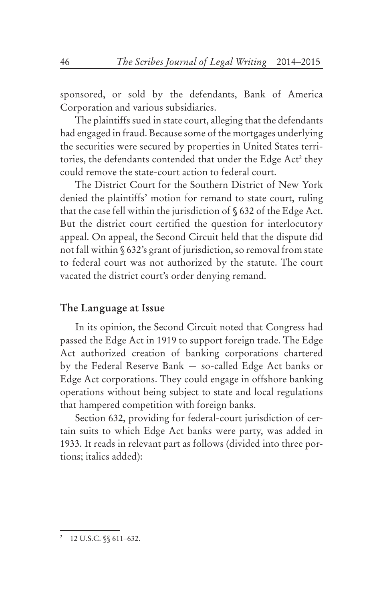sponsored, or sold by the defendants, Bank of America Corporation and various subsidiaries.

The plaintiffs sued in state court, alleging that the defendants had engaged in fraud. Because some of the mortgages underlying the securities were secured by properties in United States territories, the defendants contended that under the Edge Act<sup>2</sup> they could remove the state-court action to federal court.

The District Court for the Southern District of New York denied the plaintiffs' motion for remand to state court, ruling that the case fell within the jurisdiction of § 632 of the Edge Act. But the district court certified the question for interlocutory appeal. On appeal, the Second Circuit held that the dispute did not fall within § 632's grant of jurisdiction, so removal from state to federal court was not authorized by the statute. The court vacated the district court's order denying remand.

#### **The Language at Issue**

In its opinion, the Second Circuit noted that Congress had passed the Edge Act in 1919 to support foreign trade. The Edge Act authorized creation of banking corporations chartered by the Federal Reserve Bank — so-called Edge Act banks or Edge Act corporations. They could engage in offshore banking operations without being subject to state and local regulations that hampered competition with foreign banks.

Section 632, providing for federal-court jurisdiction of certain suits to which Edge Act banks were party, was added in 1933. It reads in relevant part as follows (divided into three portions; italics added):

<sup>2</sup> 12 U.S.C. §§ 611–632.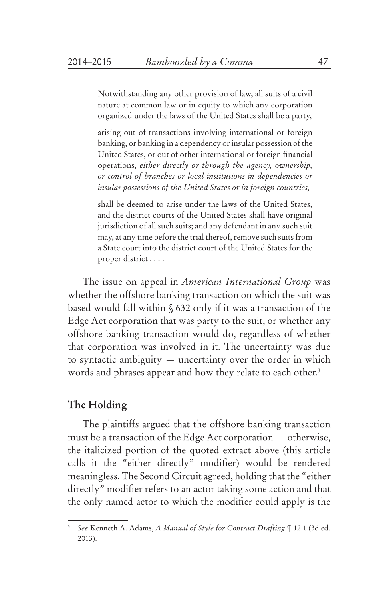Notwithstanding any other provision of law, all suits of a civil nature at common law or in equity to which any corporation organized under the laws of the United States shall be a party,

arising out of transactions involving international or foreign banking, or banking in a dependency or insular possession of the United States, or out of other international or foreign financial operations, *either directly or through the agency, ownership, or control of branches or local institutions in dependencies or insular possessions of the United States or in foreign countries,* 

shall be deemed to arise under the laws of the United States, and the district courts of the United States shall have original jurisdiction of all such suits; and any defendant in any such suit may, at any time before the trial thereof, remove such suits from a State court into the district court of the United States for the proper district . . . .

The issue on appeal in *American International Group* was whether the offshore banking transaction on which the suit was based would fall within § 632 only if it was a transaction of the Edge Act corporation that was party to the suit, or whether any offshore banking transaction would do, regardless of whether that corporation was involved in it. The uncertainty was due to syntactic ambiguity — uncertainty over the order in which words and phrases appear and how they relate to each other.<sup>3</sup>

#### **The Holding**

The plaintiffs argued that the offshore banking transaction must be a transaction of the Edge Act corporation — otherwise, the italicized portion of the quoted extract above (this article calls it the "either directly" modifier) would be rendered meaningless. The Second Circuit agreed, holding that the "either directly" modifier refers to an actor taking some action and that the only named actor to which the modifier could apply is the

<sup>3</sup> *See* Kenneth A. Adams, *A Manual of Style for Contract Drafting* ¶ 12.1 (3d ed. 2013).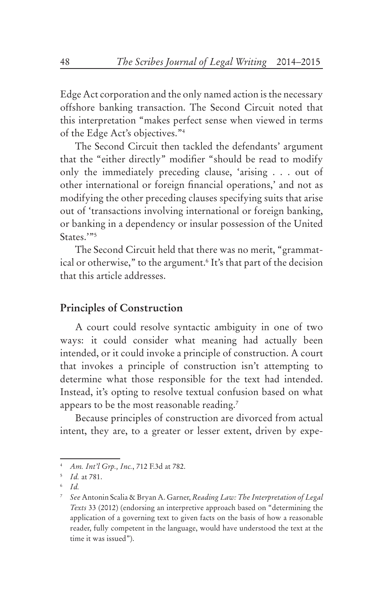Edge Act corporation and the only named action is the necessary offshore banking transaction. The Second Circuit noted that this interpretation "makes perfect sense when viewed in terms of the Edge Act's objectives."4

The Second Circuit then tackled the defendants' argument that the "either directly" modifier "should be read to modify only the immediately preceding clause, 'arising . . . out of other international or foreign financial operations,' and not as modifying the other preceding clauses specifying suits that arise out of 'transactions involving international or foreign banking, or banking in a dependency or insular possession of the United States.'"<sup>5</sup>

The Second Circuit held that there was no merit, "grammatical or otherwise," to the argument.<sup>6</sup> It's that part of the decision that this article addresses.

# **Principles of Construction**

A court could resolve syntactic ambiguity in one of two ways: it could consider what meaning had actually been intended, or it could invoke a principle of construction. A court that invokes a principle of construction isn't attempting to determine what those responsible for the text had intended. Instead, it's opting to resolve textual confusion based on what appears to be the most reasonable reading.7

Because principles of construction are divorced from actual intent, they are, to a greater or lesser extent, driven by expe-

<sup>4</sup> *Am. Int'l Grp., Inc.*, 712 F.3d at 782.

<sup>5</sup> *Id.* at 781.

<sup>6</sup> *Id.*

<sup>7</sup> *See* Antonin Scalia & Bryan A. Garner, *Reading Law: The Interpretation of Legal Texts* 33 (2012) (endorsing an interpretive approach based on "determining the application of a governing text to given facts on the basis of how a reasonable reader, fully competent in the language, would have understood the text at the time it was issued").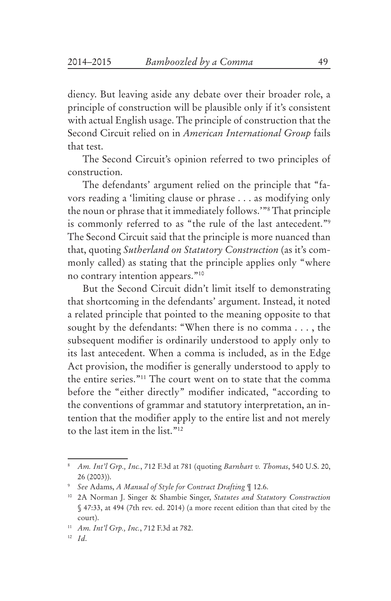diency. But leaving aside any debate over their broader role, a principle of construction will be plausible only if it's consistent with actual English usage. The principle of construction that the Second Circuit relied on in *American International Group* fails that test.

The Second Circuit's opinion referred to two principles of construction.

The defendants' argument relied on the principle that "favors reading a 'limiting clause or phrase . . . as modifying only the noun or phrase that it immediately follows.'"8 That principle is commonly referred to as "the rule of the last antecedent."9 The Second Circuit said that the principle is more nuanced than that, quoting *Sutherland on Statutory Construction* (as it's commonly called) as stating that the principle applies only "where no contrary intention appears."10

But the Second Circuit didn't limit itself to demonstrating that shortcoming in the defendants' argument. Instead, it noted a related principle that pointed to the meaning opposite to that sought by the defendants: "When there is no comma . . . , the subsequent modifier is ordinarily understood to apply only to its last antecedent. When a comma is included, as in the Edge Act provision, the modifier is generally understood to apply to the entire series."11 The court went on to state that the comma before the "either directly" modifier indicated, "according to the conventions of grammar and statutory interpretation, an intention that the modifier apply to the entire list and not merely to the last item in the list."12

<sup>8</sup> *Am. Int'l Grp., Inc.*, 712 F.3d at 781 (quoting *Barnhart v. Thomas*, 540 U.S. 20, 26 (2003)).

<sup>9</sup> *See* Adams, *A Manual of Style for Contract Drafting* ¶ 12.6.

<sup>10 2</sup>A Norman J. Singer & Shambie Singer, *Statutes and Statutory Construction* § 47:33, at 494 (7th rev. ed. 2014) (a more recent edition than that cited by the court).

<sup>11</sup> *Am. Int'l Grp., Inc.*, 712 F.3d at 782.

<sup>12</sup> *Id*.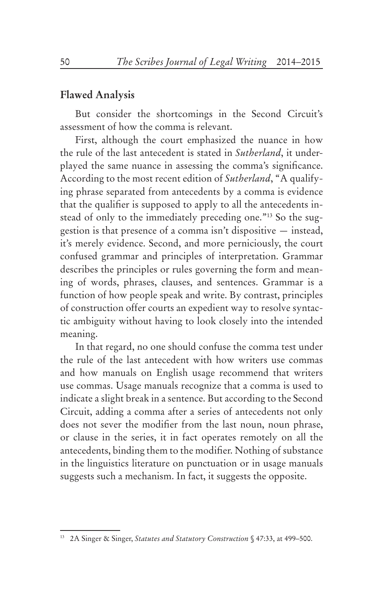#### **Flawed Analysis**

But consider the shortcomings in the Second Circuit's assessment of how the comma is relevant.

First, although the court emphasized the nuance in how the rule of the last antecedent is stated in *Sutherland*, it underplayed the same nuance in assessing the comma's significance. According to the most recent edition of *Sutherland*, "A qualifying phrase separated from antecedents by a comma is evidence that the qualifier is supposed to apply to all the antecedents instead of only to the immediately preceding one."13 So the suggestion is that presence of a comma isn't dispositive — instead, it's merely evidence. Second, and more perniciously, the court confused grammar and principles of interpretation. Grammar describes the principles or rules governing the form and meaning of words, phrases, clauses, and sentences. Grammar is a function of how people speak and write. By contrast, principles of construction offer courts an expedient way to resolve syntactic ambiguity without having to look closely into the intended meaning.

In that regard, no one should confuse the comma test under the rule of the last antecedent with how writers use commas and how manuals on English usage recommend that writers use commas. Usage manuals recognize that a comma is used to indicate a slight break in a sentence. But according to the Second Circuit, adding a comma after a series of antecedents not only does not sever the modifier from the last noun, noun phrase, or clause in the series, it in fact operates remotely on all the antecedents, binding them to the modifier. Nothing of substance in the linguistics literature on punctuation or in usage manuals suggests such a mechanism. In fact, it suggests the opposite.

<sup>13 2</sup>A Singer & Singer, *Statutes and Statutory Construction* § 47:33, at 499–500.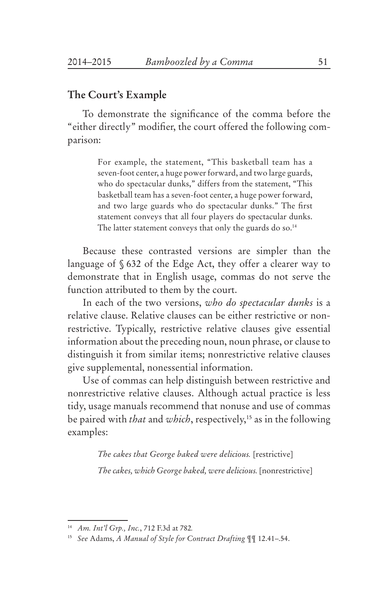## **The Court's Example**

To demonstrate the significance of the comma before the "either directly" modifier, the court offered the following comparison:

> For example, the statement, "This basketball team has a seven-foot center, a huge power forward, and two large guards, who do spectacular dunks," differs from the statement, "This basketball team has a seven-foot center, a huge power forward, and two large guards who do spectacular dunks." The first statement conveys that all four players do spectacular dunks. The latter statement conveys that only the guards do so.<sup>14</sup>

Because these contrasted versions are simpler than the language of § 632 of the Edge Act, they offer a clearer way to demonstrate that in English usage, commas do not serve the function attributed to them by the court.

In each of the two versions, *who do spectacular dunks* is a relative clause. Relative clauses can be either restrictive or nonrestrictive. Typically, restrictive relative clauses give essential information about the preceding noun, noun phrase, or clause to distinguish it from similar items; nonrestrictive relative clauses give supplemental, nonessential information.

Use of commas can help distinguish between restrictive and nonrestrictive relative clauses. Although actual practice is less tidy, usage manuals recommend that nonuse and use of commas be paired with *that* and *which*, respectively,15 as in the following examples:

> *The cakes that George baked were delicious.* [restrictive] *The cakes, which George baked, were delicious.* [nonrestrictive]

<sup>14</sup> *Am. Int'l Grp., Inc.*, 712 F.3d at 782*.*

<sup>15</sup> *See* Adams, *A Manual of Style for Contract Drafting* ¶¶ 12.41–.54.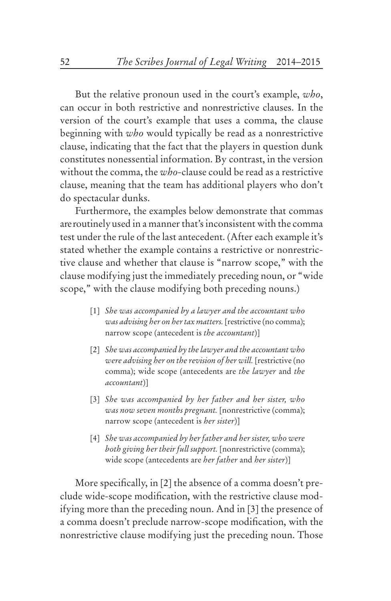But the relative pronoun used in the court's example, *who*, can occur in both restrictive and nonrestrictive clauses. In the version of the court's example that uses a comma, the clause beginning with *who* would typically be read as a nonrestrictive clause, indicating that the fact that the players in question dunk constitutes nonessential information. By contrast, in the version without the comma, the *who-*clause could be read as a restrictive clause, meaning that the team has additional players who don't do spectacular dunks.

Furthermore, the examples below demonstrate that commas are routinely used in a manner that's inconsistent with the comma test under the rule of the last antecedent. (After each example it's stated whether the example contains a restrictive or nonrestrictive clause and whether that clause is "narrow scope," with the clause modifying just the immediately preceding noun, or "wide scope," with the clause modifying both preceding nouns.)

- [1] *She was accompanied by a lawyer and the accountant who was advising her on her tax matters.* [restrictive (no comma); narrow scope (antecedent is *the accountant*)]
- [2] *She was accompanied by the lawyer and the accountant who were advising her on the revision of her will.* [restrictive (no comma); wide scope (antecedents are *the lawyer* and *the accountant*)]
- [3] *She was accompanied by her father and her sister, who was now seven months pregnant.* [nonrestrictive (comma); narrow scope (antecedent is *her sister*)]
- [4] *She was accompanied by her father and her sister, who were both giving her their full support.* [nonrestrictive (comma); wide scope (antecedents are *her father* and *her sister*)]

More specifically, in [2] the absence of a comma doesn't preclude wide-scope modification, with the restrictive clause modifying more than the preceding noun. And in [3] the presence of a comma doesn't preclude narrow-scope modification, with the nonrestrictive clause modifying just the preceding noun. Those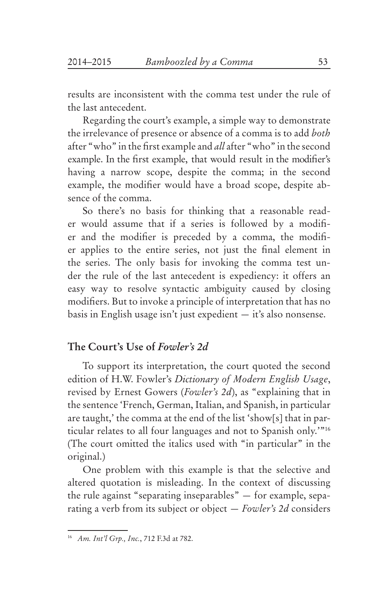results are inconsistent with the comma test under the rule of the last antecedent.

Regarding the court's example, a simple way to demonstrate the irrelevance of presence or absence of a comma is to add *both* after "who" in the first example and *all* after "who" in the second example. In the first example, that would result in the modifier's having a narrow scope, despite the comma; in the second example, the modifier would have a broad scope, despite absence of the comma.

So there's no basis for thinking that a reasonable reader would assume that if a series is followed by a modifier and the modifier is preceded by a comma, the modifier applies to the entire series, not just the final element in the series. The only basis for invoking the comma test under the rule of the last antecedent is expediency: it offers an easy way to resolve syntactic ambiguity caused by closing modifiers. But to invoke a principle of interpretation that has no basis in English usage isn't just expedient — it's also nonsense.

# **The Court's Use of** *Fowler's 2d*

To support its interpretation, the court quoted the second edition of H.W. Fowler's *Dictionary of Modern English Usage*, revised by Ernest Gowers (*Fowler's 2d*), as "explaining that in the sentence 'French, German, Italian, and Spanish, in particular are taught,' the comma at the end of the list 'show[s] that in particular relates to all four languages and not to Spanish only.'"16 (The court omitted the italics used with "in particular" in the original.)

One problem with this example is that the selective and altered quotation is misleading. In the context of discussing the rule against "separating inseparables" — for example, separating a verb from its subject or object — *Fowler's 2d* considers

<sup>16</sup> *Am. Int'l Grp., Inc.*, 712 F.3d at 782.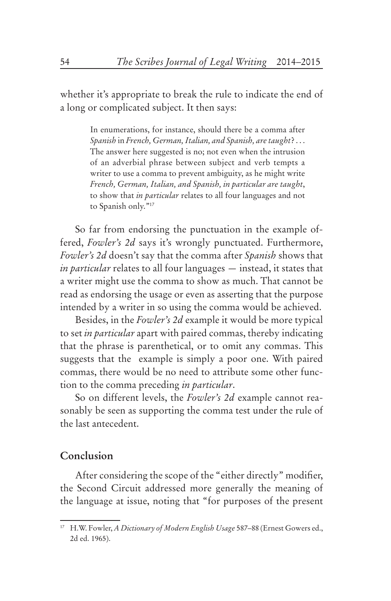whether it's appropriate to break the rule to indicate the end of a long or complicated subject. It then says:

> In enumerations, for instance, should there be a comma after *Spanish* in *French, German, Italian, and Spanish, are taught*? . . . The answer here suggested is no; not even when the intrusion of an adverbial phrase between subject and verb tempts a writer to use a comma to prevent ambiguity, as he might write *French, German, Italian, and Spanish, in particular are taught*, to show that *in particular* relates to all four languages and not to Spanish only."17

So far from endorsing the punctuation in the example offered, *Fowler's 2d* says it's wrongly punctuated. Furthermore, *Fowler's 2d* doesn't say that the comma after *Spanish* shows that *in particular* relates to all four languages — instead, it states that a writer might use the comma to show as much. That cannot be read as endorsing the usage or even as asserting that the purpose intended by a writer in so using the comma would be achieved.

Besides, in the *Fowler's 2d* example it would be more typical to set *in particular* apart with paired commas, thereby indicating that the phrase is parenthetical, or to omit any commas. This suggests that the example is simply a poor one. With paired commas, there would be no need to attribute some other function to the comma preceding *in particular*.

So on different levels, the *Fowler's 2d* example cannot reasonably be seen as supporting the comma test under the rule of the last antecedent.

# **Conclusion**

After considering the scope of the "either directly" modifier, the Second Circuit addressed more generally the meaning of the language at issue, noting that "for purposes of the present

<sup>17</sup> H.W. Fowler, *A Dictionary of Modern English Usage* 587–88 (Ernest Gowers ed., 2d ed. 1965).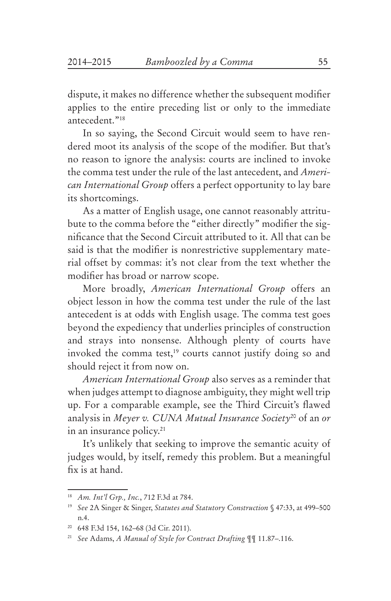dispute, it makes no difference whether the subsequent modifier applies to the entire preceding list or only to the immediate antecedent."18

In so saying, the Second Circuit would seem to have rendered moot its analysis of the scope of the modifier. But that's no reason to ignore the analysis: courts are inclined to invoke the comma test under the rule of the last antecedent, and *American International Group* offers a perfect opportunity to lay bare its shortcomings.

As a matter of English usage, one cannot reasonably attritubute to the comma before the "either directly" modifier the signifi cance that the Second Circuit attributed to it. All that can be said is that the modifier is nonrestrictive supplementary material offset by commas: it's not clear from the text whether the modifier has broad or narrow scope.

More broadly, *American International Group* offers an object lesson in how the comma test under the rule of the last antecedent is at odds with English usage. The comma test goes beyond the expediency that underlies principles of construction and strays into nonsense. Although plenty of courts have invoked the comma test,<sup>19</sup> courts cannot justify doing so and should reject it from now on.

*American International Group* also serves as a reminder that when judges attempt to diagnose ambiguity, they might well trip up. For a comparable example, see the Third Circuit's flawed analysis in *Meyer v. CUNA Mutual Insurance Society*20 of an *or* in an insurance policy.<sup>21</sup>

It's unlikely that seeking to improve the semantic acuity of judges would, by itself, remedy this problem. But a meaningful fix is at hand.

<sup>18</sup> *Am. Int'l Grp., Inc.*, 712 F.3d at 784.

<sup>19</sup> *See* 2A Singer & Singer, *Statutes and Statutory Construction* § 47:33, at 499–500 n.4.

<sup>20 648</sup> F.3d 154, 162–68 (3d Cir. 2011).

<sup>21</sup> *See* Adams, *A Manual of Style for Contract Drafting* ¶¶ 11.87–.116.